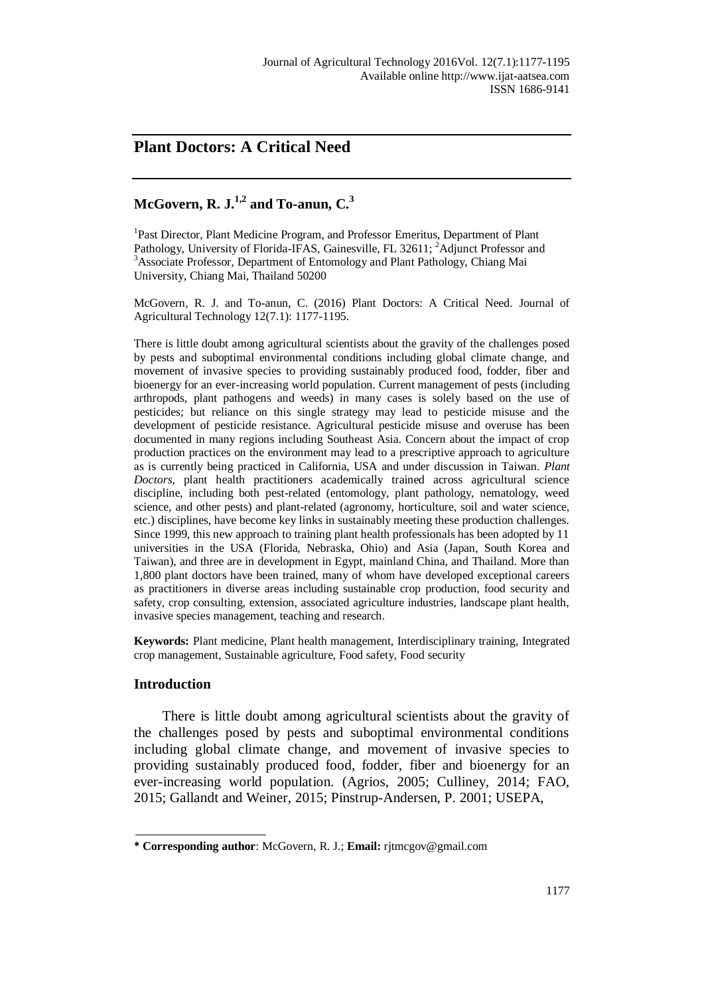## **Plant Doctors: A Critical Need**

# **McGovern, R. J.1,2 and To-anun, C.<sup>3</sup>**

<sup>1</sup>Past Director, Plant Medicine Program, and Professor Emeritus, Department of Plant Pathology, University of Florida-IFAS, Gainesville, FL 32611; <sup>2</sup>Adjunct Professor and <sup>3</sup>Associate Professor, Department of Entomology and Plant Pathology, Chiang Mai University, Chiang Mai, Thailand 50200

McGovern, R. J. and To-anun, C. (2016) Plant Doctors: A Critical Need. Journal of Agricultural Technology 12(7.1): 1177-1195.

There is little doubt among agricultural scientists about the gravity of the challenges posed by pests and suboptimal environmental conditions including global climate change, and movement of invasive species to providing sustainably produced food, fodder, fiber and bioenergy for an ever-increasing world population. Current management of pests (including arthropods, plant pathogens and weeds) in many cases is solely based on the use of pesticides; but reliance on this single strategy may lead to pesticide misuse and the development of pesticide resistance. Agricultural pesticide misuse and overuse has been documented in many regions including Southeast Asia. Concern about the impact of crop production practices on the environment may lead to a prescriptive approach to agriculture as is currently being practiced in California, USA and under discussion in Taiwan. *Plant Doctors*, plant health practitioners academically trained across agricultural science discipline, including both pest-related (entomology, plant pathology, nematology, weed science, and other pests) and plant-related (agronomy, horticulture, soil and water science, etc.) disciplines, have become key links in sustainably meeting these production challenges. Since 1999, this new approach to training plant health professionals has been adopted by 11 universities in the USA (Florida, Nebraska, Ohio) and Asia (Japan, South Korea and Taiwan), and three are in development in Egypt, mainland China, and Thailand. More than 1,800 plant doctors have been trained, many of whom have developed exceptional careers as practitioners in diverse areas including sustainable crop production, food security and safety, crop consulting, extension, associated agriculture industries, landscape plant health, invasive species management, teaching and research.

**Keywords:** Plant medicine, Plant health management, Interdisciplinary training, Integrated crop management, Sustainable agriculture, Food safety, Food security

## **Introduction**

There is little doubt among agricultural scientists about the gravity of the challenges posed by pests and suboptimal environmental conditions including global climate change, and movement of invasive species to providing sustainably produced food, fodder, fiber and bioenergy for an ever-increasing world population. (Agrios, 2005; Culliney, 2014; FAO, 2015; Gallandt and Weiner, 2015; Pinstrup-Andersen, P. 2001; USEPA,

**<sup>\*</sup> Corresponding author**: McGovern, R. J.; **Email:** rjtmcgov@gmail.com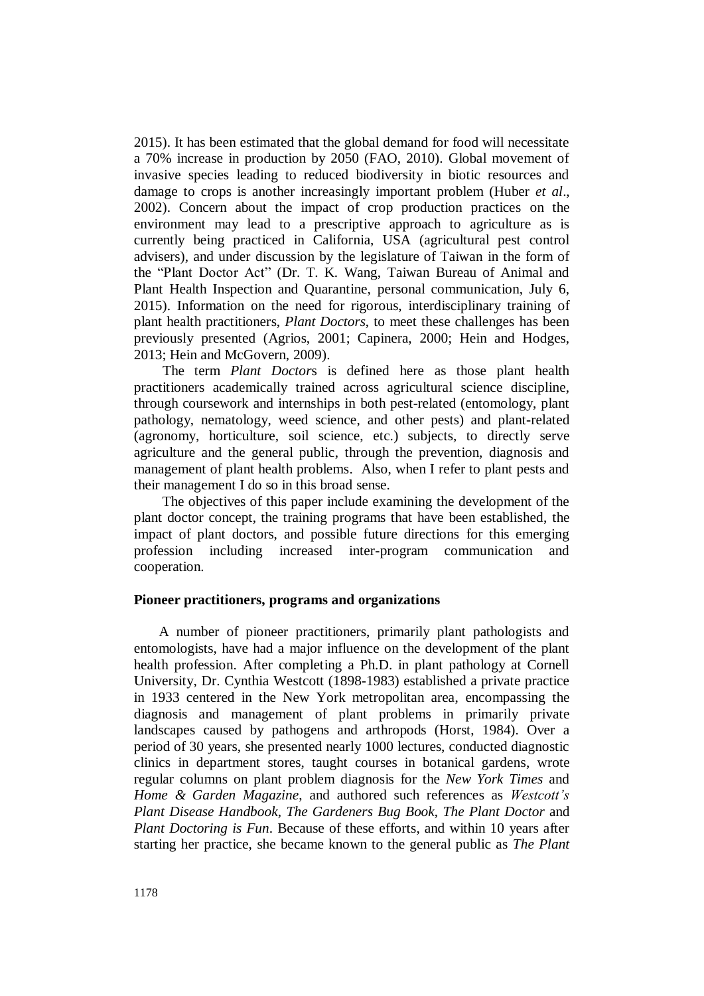2015). It has been estimated that the global demand for food will necessitate a 70% increase in production by 2050 (FAO, 2010). Global movement of invasive species leading to reduced biodiversity in biotic resources and damage to crops is another increasingly important problem (Huber *et al*., 2002). Concern about the impact of crop production practices on the environment may lead to a prescriptive approach to agriculture as is currently being practiced in California, USA (agricultural pest control advisers), and under discussion by the legislature of Taiwan in the form of the "Plant Doctor Act" (Dr. T. K. Wang, Taiwan Bureau of Animal and Plant Health Inspection and Quarantine, personal communication, July 6, 2015). Information on the need for rigorous, interdisciplinary training of plant health practitioners, *Plant Doctors*, to meet these challenges has been previously presented (Agrios, 2001; Capinera, 2000; Hein and Hodges, 2013; Hein and McGovern, 2009).

 The term *Plant Doctor*s is defined here as those plant health practitioners academically trained across agricultural science discipline, through coursework and internships in both pest-related (entomology, plant pathology, nematology, weed science, and other pests) and plant-related (agronomy, horticulture, soil science, etc.) subjects, to directly serve agriculture and the general public, through the prevention, diagnosis and management of plant health problems. Also, when I refer to plant pests and their management I do so in this broad sense.

The objectives of this paper include examining the development of the plant doctor concept, the training programs that have been established, the impact of plant doctors, and possible future directions for this emerging profession including increased inter-program communication and cooperation.

## **Pioneer practitioners, programs and organizations**

 A number of pioneer practitioners, primarily plant pathologists and entomologists, have had a major influence on the development of the plant health profession. After completing a Ph.D. in plant pathology at Cornell University, Dr. Cynthia Westcott (1898-1983) established a private practice in 1933 centered in the New York metropolitan area, encompassing the diagnosis and management of plant problems in primarily private landscapes caused by pathogens and arthropods (Horst, 1984). Over a period of 30 years, she presented nearly 1000 lectures, conducted diagnostic clinics in department stores, taught courses in botanical gardens, wrote regular columns on plant problem diagnosis for the *New York Times* and *Home & Garden Magazine*, and authored such references as *Westcott's Plant Disease Handbook*, *The Gardeners Bug Book*, *The Plant Doctor* and *Plant Doctoring is Fun*. Because of these efforts, and within 10 years after starting her practice, she became known to the general public as *The Plant*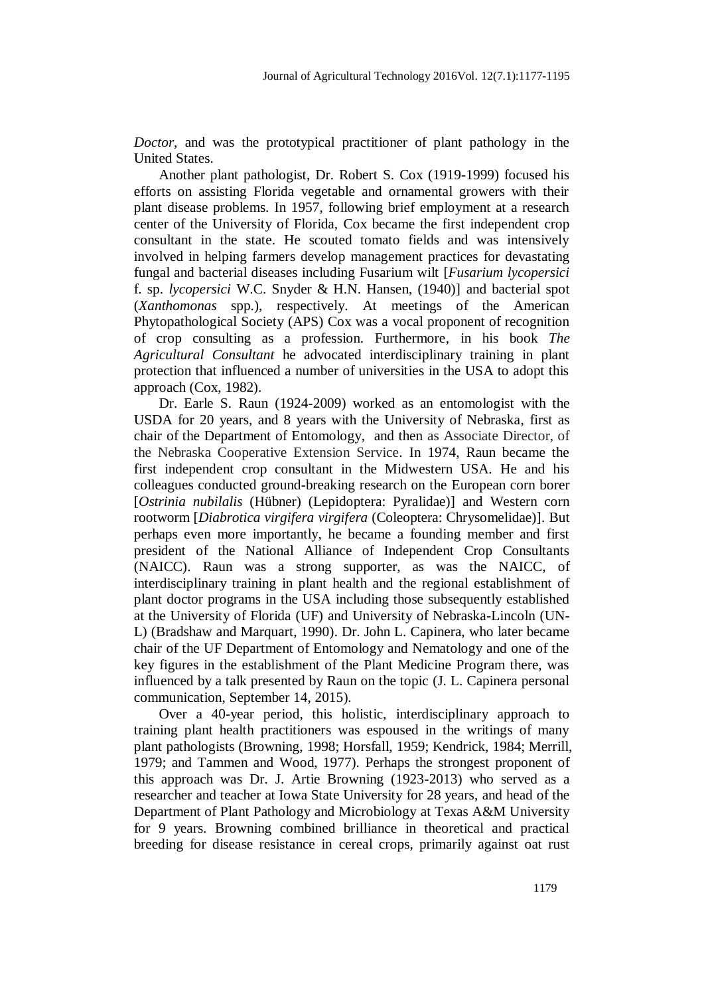*Doctor*, and was the prototypical practitioner of plant pathology in the United States.

 Another plant pathologist, Dr. Robert S. Cox (1919-1999) focused his efforts on assisting Florida vegetable and ornamental growers with their plant disease problems. In 1957, following brief employment at a research center of the University of Florida, Cox became the first independent crop consultant in the state. He scouted tomato fields and was intensively involved in helping farmers develop management practices for devastating fungal and bacterial diseases including Fusarium wilt [*Fusarium lycopersici* f. sp. *lycopersici* W.C. Snyder & H.N. Hansen, (1940)] and bacterial spot (*Xanthomonas* spp.), respectively. At meetings of the American Phytopathological Society (APS) Cox was a vocal proponent of recognition of crop consulting as a profession. Furthermore, in his book *The Agricultural Consultant* he advocated interdisciplinary training in plant protection that influenced a number of universities in the USA to adopt this approach (Cox, 1982).

Dr. Earle S. Raun (1924-2009) worked as an entomologist with the USDA for 20 years, and 8 years with the University of Nebraska, first as chair of the Department of Entomology, and then as Associate Director, of the Nebraska Cooperative Extension Service. In 1974, Raun became the first independent crop consultant in the Midwestern USA. He and his colleagues conducted ground-breaking research on the European corn borer [*Ostrinia nubilalis* (Hübner) (Lepidoptera: Pyralidae)] and Western corn rootworm [*Diabrotica virgifera virgifera* (Coleoptera: Chrysomelidae)]. But perhaps even more importantly, he became a founding member and first president of the National Alliance of Independent Crop Consultants (NAICC). Raun was a strong supporter, as was the NAICC, of interdisciplinary training in plant health and the regional establishment of plant doctor programs in the USA including those subsequently established at the University of Florida (UF) and University of Nebraska-Lincoln (UN-L) (Bradshaw and Marquart, 1990). Dr. John L. Capinera, who later became chair of the UF Department of Entomology and Nematology and one of the key figures in the establishment of the Plant Medicine Program there, was influenced by a talk presented by Raun on the topic (J. L. Capinera personal communication, September 14, 2015).

 Over a 40-year period, this holistic, interdisciplinary approach to training plant health practitioners was espoused in the writings of many plant pathologists (Browning, 1998; Horsfall, 1959; Kendrick, 1984; Merrill, 1979; and Tammen and Wood, 1977). Perhaps the strongest proponent of this approach was Dr. J. Artie Browning (1923-2013) who served as a researcher and teacher at Iowa State University for 28 years, and head of the Department of Plant Pathology and Microbiology at Texas A&M University for 9 years. Browning combined brilliance in theoretical and practical breeding for disease resistance in cereal crops, primarily against oat rust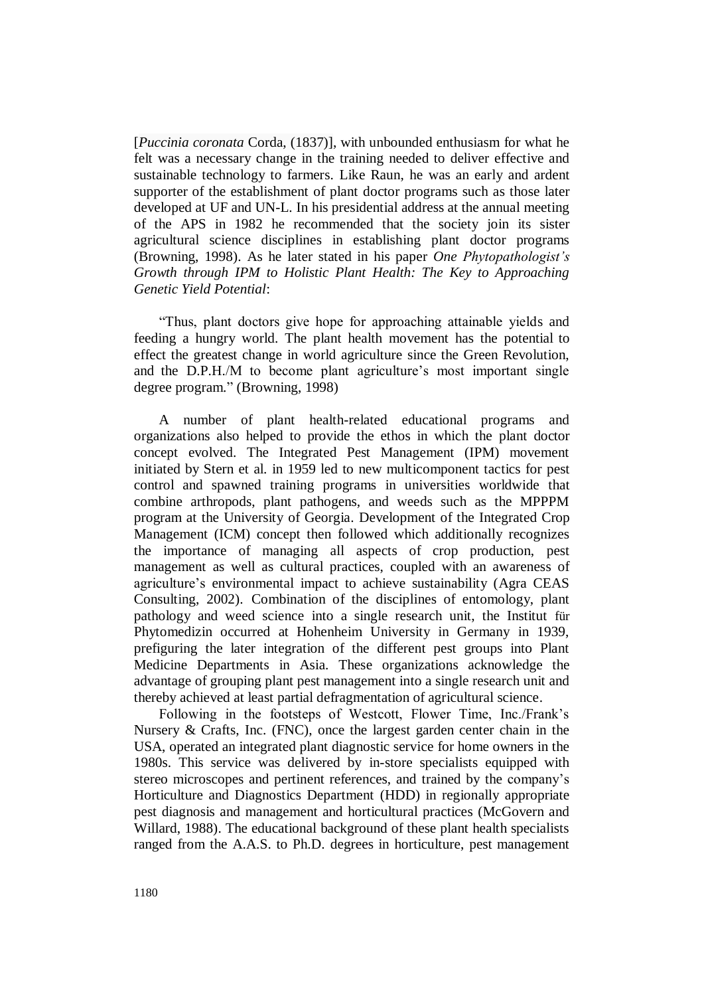[*Puccinia coronata* Corda, (1837)], with unbounded enthusiasm for what he felt was a necessary change in the training needed to deliver effective and sustainable technology to farmers. Like Raun, he was an early and ardent supporter of the establishment of plant doctor programs such as those later developed at UF and UN-L. In his presidential address at the annual meeting of the APS in 1982 he recommended that the society join its sister agricultural science disciplines in establishing plant doctor programs (Browning, 1998). As he later stated in his paper *One Phytopathologist's Growth through IPM to Holistic Plant Health: The Key to Approaching Genetic Yield Potential*:

"Thus, plant doctors give hope for approaching attainable yields and feeding a hungry world. The plant health movement has the potential to effect the greatest change in world agriculture since the Green Revolution, and the D.P.H./M to become plant agriculture's most important single degree program." (Browning, 1998)

 A number of plant health-related educational programs and organizations also helped to provide the ethos in which the plant doctor concept evolved. The Integrated Pest Management (IPM) movement initiated by Stern et al. in 1959 led to new multicomponent tactics for pest control and spawned training programs in universities worldwide that combine arthropods, plant pathogens, and weeds such as the MPPPM program at the University of Georgia. Development of the Integrated Crop Management (ICM) concept then followed which additionally recognizes the importance of managing all aspects of crop production, pest management as well as cultural practices, coupled with an awareness of agriculture's environmental impact to achieve sustainability (Agra CEAS Consulting, 2002). Combination of the disciplines of entomology, plant pathology and weed science into a single research unit, the Institut für Phytomedizin occurred at Hohenheim University in Germany in 1939, prefiguring the later integration of the different pest groups into Plant Medicine Departments in Asia. These organizations acknowledge the advantage of grouping plant pest management into a single research unit and thereby achieved at least partial defragmentation of agricultural science.

 Following in the footsteps of Westcott, Flower Time, Inc./Frank's Nursery & Crafts, Inc. (FNC), once the largest garden center chain in the USA, operated an integrated plant diagnostic service for home owners in the 1980s. This service was delivered by in-store specialists equipped with stereo microscopes and pertinent references, and trained by the company's Horticulture and Diagnostics Department (HDD) in regionally appropriate pest diagnosis and management and horticultural practices (McGovern and Willard, 1988). The educational background of these plant health specialists ranged from the A.A.S. to Ph.D. degrees in horticulture, pest management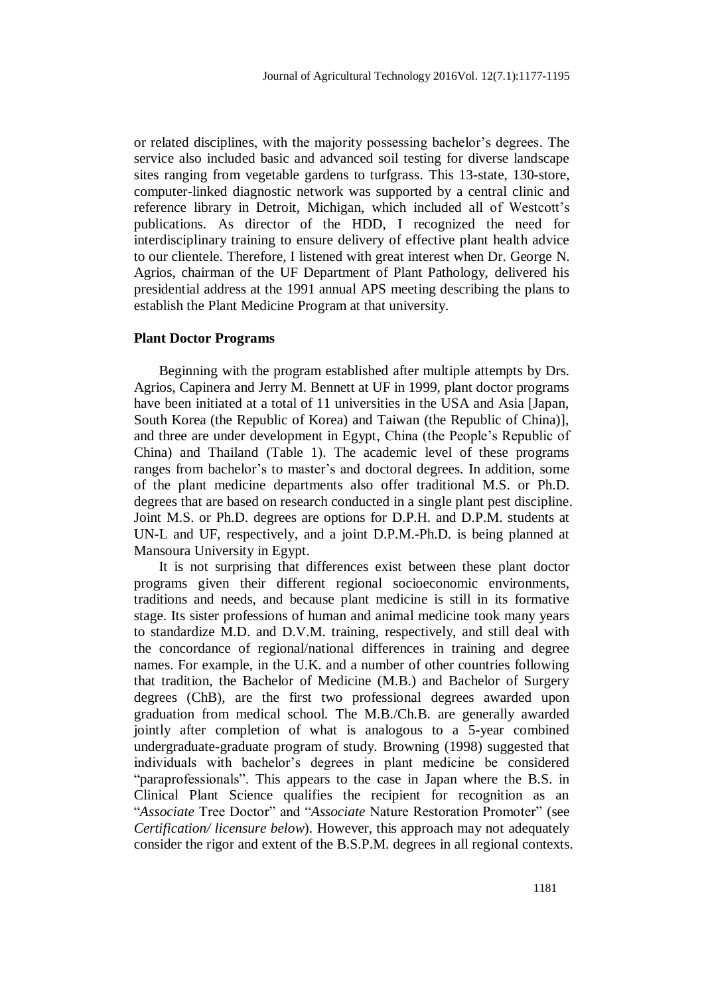or related disciplines, with the majority possessing bachelor's degrees. The service also included basic and advanced soil testing for diverse landscape sites ranging from vegetable gardens to turfgrass. This 13-state, 130-store, computer-linked diagnostic network was supported by a central clinic and reference library in Detroit, Michigan, which included all of Westcott's publications. As director of the HDD, I recognized the need for interdisciplinary training to ensure delivery of effective plant health advice to our clientele. Therefore, I listened with great interest when Dr. George N. Agrios, chairman of the UF Department of Plant Pathology, delivered his presidential address at the 1991 annual APS meeting describing the plans to establish the Plant Medicine Program at that university.

#### **Plant Doctor Programs**

 Beginning with the program established after multiple attempts by Drs. Agrios, Capinera and Jerry M. Bennett at UF in 1999, plant doctor programs have been initiated at a total of 11 universities in the USA and Asia [Japan, South Korea (the Republic of Korea) and Taiwan (the Republic of China)], and three are under development in Egypt, China (the People's Republic of China) and Thailand (Table 1). The academic level of these programs ranges from bachelor's to master's and doctoral degrees. In addition, some of the plant medicine departments also offer traditional M.S. or Ph.D. degrees that are based on research conducted in a single plant pest discipline. Joint M.S. or Ph.D. degrees are options for D.P.H. and D.P.M. students at UN-L and UF, respectively, and a joint D.P.M.-Ph.D. is being planned at Mansoura University in Egypt.

 It is not surprising that differences exist between these plant doctor programs given their different regional socioeconomic environments, traditions and needs, and because plant medicine is still in its formative stage. Its sister professions of human and animal medicine took many years to standardize M.D. and D.V.M. training, respectively, and still deal with the concordance of regional/national differences in training and degree names. For example, in the U.K. and a number of other countries following that tradition, the Bachelor of Medicine (M.B.) and Bachelor of Surgery degrees (ChB), are the first two professional degrees awarded upon graduation from medical school. The M.B./Ch.B. are generally awarded jointly after completion of what is analogous to a 5-year combined undergraduate-graduate program of study. Browning (1998) suggested that individuals with bachelor's degrees in plant medicine be considered "paraprofessionals". This appears to the case in Japan where the B.S. in Clinical Plant Science qualifies the recipient for recognition as an "*Associate* Tree Doctor" and "*Associate* Nature Restoration Promoter" (see *Certification/ licensure below*). However, this approach may not adequately consider the rigor and extent of the B.S.P.M. degrees in all regional contexts.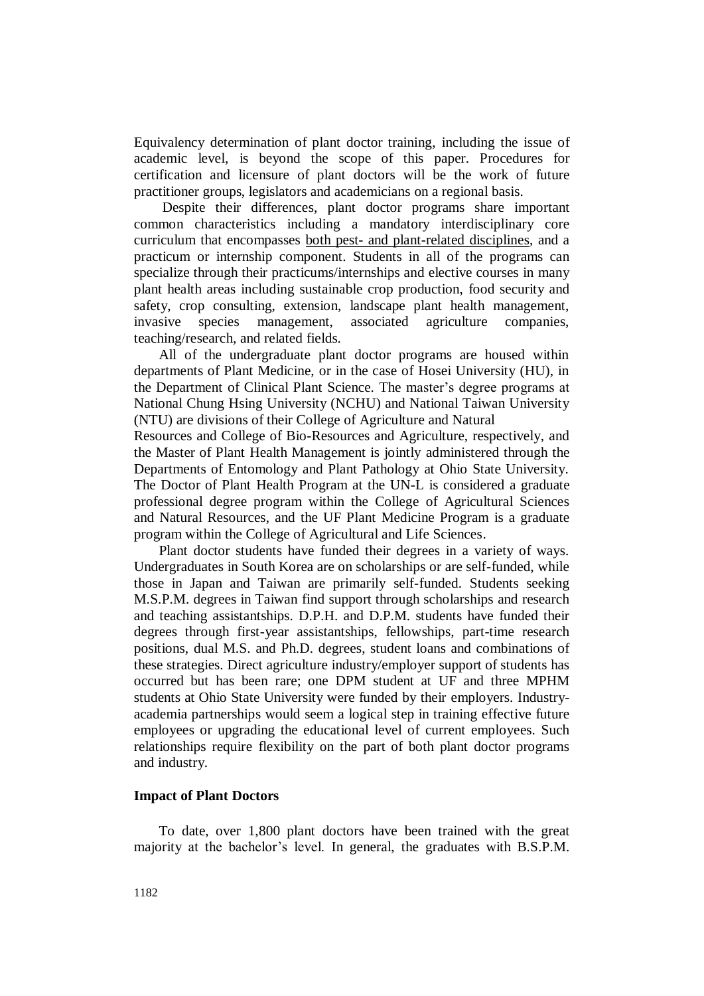Equivalency determination of plant doctor training, including the issue of academic level, is beyond the scope of this paper. Procedures for certification and licensure of plant doctors will be the work of future practitioner groups, legislators and academicians on a regional basis.

Despite their differences, plant doctor programs share important common characteristics including a mandatory interdisciplinary core curriculum that encompasses both pest- and plant-related disciplines, and a practicum or internship component. Students in all of the programs can specialize through their practicums/internships and elective courses in many plant health areas including sustainable crop production, food security and safety, crop consulting, extension, landscape plant health management, invasive species management, associated agriculture companies, teaching/research, and related fields.

 All of the undergraduate plant doctor programs are housed within departments of Plant Medicine, or in the case of Hosei University (HU), in the Department of Clinical Plant Science. The master's degree programs at National Chung Hsing University (NCHU) and National Taiwan University (NTU) are divisions of their College of Agriculture and Natural

Resources and College of Bio-Resources and Agriculture, respectively, and the Master of Plant Health Management is jointly administered through the Departments of Entomology and Plant Pathology at Ohio State University. The Doctor of Plant Health Program at the UN-L is considered a graduate professional degree program within the College of Agricultural Sciences and Natural Resources, and the UF Plant Medicine Program is a graduate program within the College of Agricultural and Life Sciences.

 Plant doctor students have funded their degrees in a variety of ways. Undergraduates in South Korea are on scholarships or are self-funded, while those in Japan and Taiwan are primarily self-funded. Students seeking M.S.P.M. degrees in Taiwan find support through scholarships and research and teaching assistantships. D.P.H. and D.P.M. students have funded their degrees through first-year assistantships, fellowships, part-time research positions, dual M.S. and Ph.D. degrees, student loans and combinations of these strategies. Direct agriculture industry/employer support of students has occurred but has been rare; one DPM student at UF and three MPHM students at Ohio State University were funded by their employers. Industryacademia partnerships would seem a logical step in training effective future employees or upgrading the educational level of current employees. Such relationships require flexibility on the part of both plant doctor programs and industry.

## **Impact of Plant Doctors**

 To date, over 1,800 plant doctors have been trained with the great majority at the bachelor's level. In general, the graduates with B.S.P.M.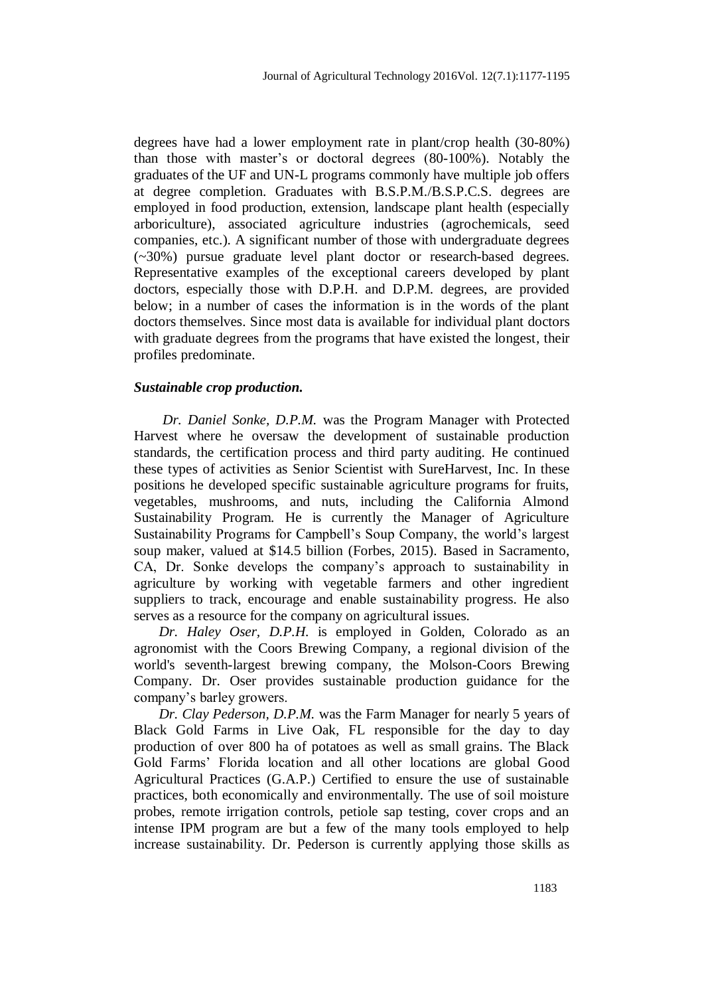degrees have had a lower employment rate in plant/crop health (30-80%) than those with master's or doctoral degrees (80-100%). Notably the graduates of the UF and UN-L programs commonly have multiple job offers at degree completion. Graduates with B.S.P.M./B.S.P.C.S. degrees are employed in food production, extension, landscape plant health (especially arboriculture), associated agriculture industries (agrochemicals, seed companies, etc.). A significant number of those with undergraduate degrees (~30%) pursue graduate level plant doctor or research-based degrees. Representative examples of the exceptional careers developed by plant doctors, especially those with D.P.H. and D.P.M. degrees, are provided below; in a number of cases the information is in the words of the plant doctors themselves. Since most data is available for individual plant doctors with graduate degrees from the programs that have existed the longest, their profiles predominate.

#### *Sustainable crop production.*

 *Dr. Daniel Sonke, D.P.M.* was the Program Manager with Protected Harvest where he oversaw the development of sustainable production standards, the certification process and third party auditing. He continued these types of activities as Senior Scientist with SureHarvest, Inc. In these positions he developed specific sustainable agriculture programs for fruits, vegetables, mushrooms, and nuts, including the California Almond Sustainability Program. He is currently the Manager of Agriculture Sustainability Programs for Campbell's Soup Company, the world's largest soup maker, valued at \$14.5 billion (Forbes, 2015). Based in Sacramento, CA, Dr. Sonke develops the company's approach to sustainability in agriculture by working with vegetable farmers and other ingredient suppliers to track, encourage and enable sustainability progress. He also serves as a resource for the company on agricultural issues.

 *Dr. Haley Oser, D.P.H.* is employed in Golden, Colorado as an agronomist with the Coors Brewing Company, a regional division of the world's seventh-largest brewing company, the Molson-Coors Brewing Company. Dr. Oser provides sustainable production guidance for the company's barley growers.

 *Dr. Clay Pederson, D.P.M.* was the Farm Manager for nearly 5 years of Black Gold Farms in Live Oak, FL responsible for the day to day production of over 800 ha of potatoes as well as small grains. The Black Gold Farms' Florida location and all other locations are global Good Agricultural Practices (G.A.P.) Certified to ensure the use of sustainable practices, both economically and environmentally. The use of soil moisture probes, remote irrigation controls, petiole sap testing, cover crops and an intense IPM program are but a few of the many tools employed to help increase sustainability. Dr. Pederson is currently applying those skills as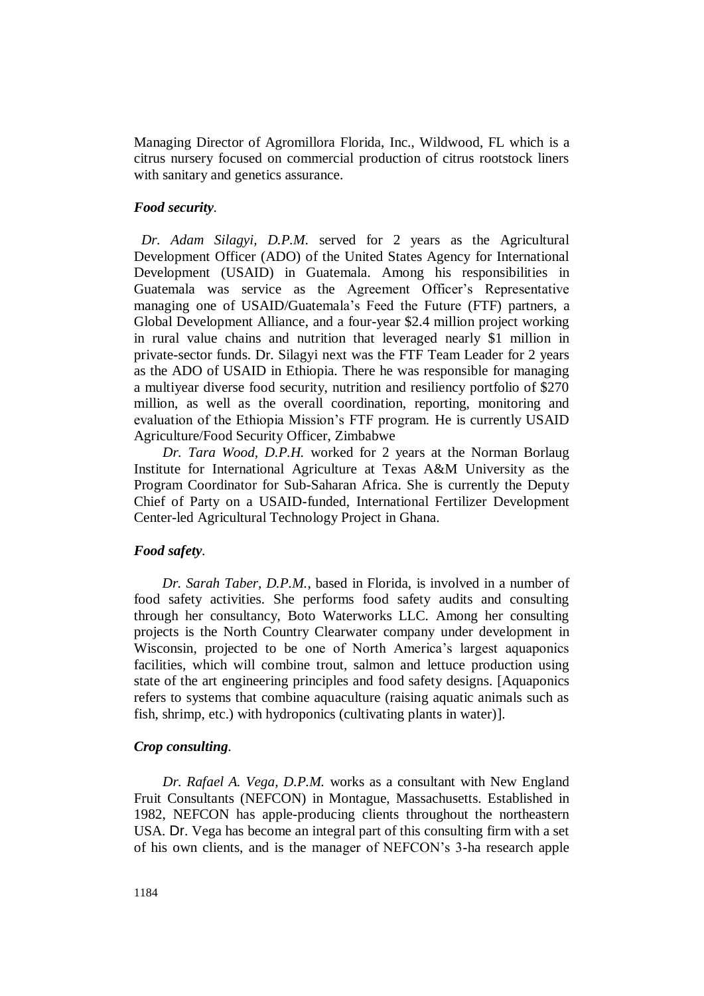Managing Director of Agromillora Florida, Inc., Wildwood, FL which is a citrus nursery focused on commercial production of citrus rootstock liners with sanitary and genetics assurance.

## *Food security.*

 *Dr. Adam Silagyi, D.P.M.* served for 2 years as the Agricultural Development Officer (ADO) of the United States Agency for International Development (USAID) in Guatemala. Among his responsibilities in Guatemala was service as the Agreement Officer's Representative managing one of USAID/Guatemala's Feed the Future (FTF) partners, a Global Development Alliance, and a four-year \$2.4 million project working in rural value chains and nutrition that leveraged nearly \$1 million in private-sector funds. Dr. Silagyi next was the FTF Team Leader for 2 years as the ADO of USAID in Ethiopia. There he was responsible for managing a multiyear diverse food security, nutrition and resiliency portfolio of \$270 million, as well as the overall coordination, reporting, monitoring and evaluation of the Ethiopia Mission's FTF program. He is currently USAID Agriculture/Food Security Officer, Zimbabwe

 *Dr. Tara Wood, D.P.H.* worked for 2 years at the Norman Borlaug Institute for International Agriculture at Texas A&M University as the Program Coordinator for Sub-Saharan Africa. She is currently the Deputy Chief of Party on a USAID-funded, International Fertilizer Development Center-led Agricultural Technology Project in Ghana.

## *Food safety.*

*Dr. Sarah Taber, D.P.M.*, based in Florida, is involved in a number of food safety activities. She performs food safety audits and consulting through her consultancy, Boto Waterworks LLC. Among her consulting projects is the North Country Clearwater company under development in Wisconsin, projected to be one of North America's largest aquaponics facilities, which will combine trout, salmon and lettuce production using state of the art engineering principles and food safety designs. [Aquaponics refers to systems that combine aquaculture (raising aquatic animals such as fish, shrimp, etc.) with hydroponics (cultivating plants in water)].

## *Crop consulting.*

 *Dr. Rafael A. Vega, D.P.M.* works as a consultant with New England Fruit Consultants (NEFCON) in Montague, Massachusetts. Established in 1982, NEFCON has apple-producing clients throughout the northeastern USA. Dr. Vega has become an integral part of this consulting firm with a set of his own clients, and is the manager of NEFCON's 3-ha research apple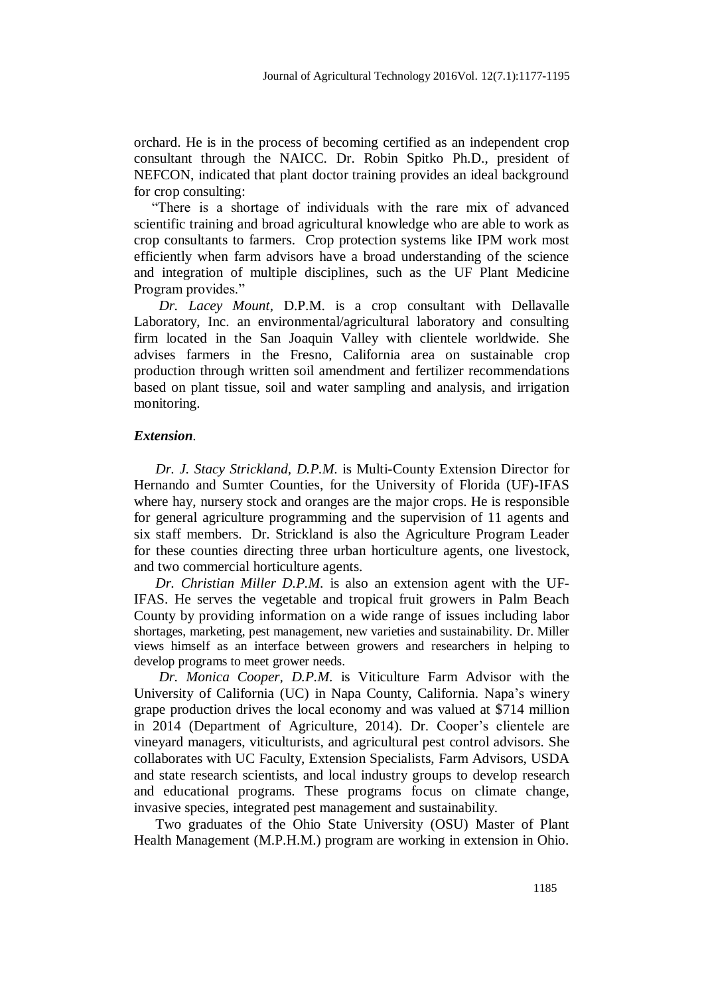orchard. He is in the process of becoming certified as an independent crop consultant through the NAICC. Dr. Robin Spitko Ph.D., president of NEFCON, indicated that plant doctor training provides an ideal background for crop consulting:

 "There is a shortage of individuals with the rare mix of advanced scientific training and broad agricultural knowledge who are able to work as crop consultants to farmers. Crop protection systems like IPM work most efficiently when farm advisors have a broad understanding of the science and integration of multiple disciplines, such as the UF Plant Medicine Program provides."

 *Dr. Lacey Mount*, D.P.M. is a crop consultant with Dellavalle Laboratory, Inc. an environmental/agricultural laboratory and consulting firm located in the San Joaquin Valley with clientele worldwide. She advises farmers in the Fresno, California area on sustainable crop production through written soil amendment and fertilizer recommendations based on plant tissue, soil and water sampling and analysis, and irrigation monitoring.

#### *Extension.*

 *Dr. J. Stacy Strickland, D.P.M.* is Multi-County Extension Director for Hernando and Sumter Counties, for the University of Florida (UF)-IFAS where hay, nursery stock and oranges are the major crops. He is responsible for general agriculture programming and the supervision of 11 agents and six staff members. Dr. Strickland is also the Agriculture Program Leader for these counties directing three urban horticulture agents, one livestock, and two commercial horticulture agents.

 *Dr. Christian Miller D.P.M.* is also an extension agent with the UF-IFAS. He serves the vegetable and tropical fruit growers in Palm Beach County by providing information on a wide range of issues including labor shortages, marketing, pest management, new varieties and sustainability. Dr. Miller views himself as an interface between growers and researchers in helping to develop programs to meet grower needs.

 *Dr. Monica Cooper, D.P.M.* is Viticulture Farm Advisor with the University of California (UC) in Napa County, California. Napa's winery grape production drives the local economy and was valued at \$714 million in 2014 (Department of Agriculture, 2014). Dr. Cooper's clientele are vineyard managers, viticulturists, and agricultural pest control advisors. She collaborates with UC Faculty, Extension Specialists, Farm Advisors, USDA and state research scientists, and local industry groups to develop research and educational programs. These programs focus on climate change, invasive species, integrated pest management and sustainability.

 Two graduates of the Ohio State University (OSU) Master of Plant Health Management (M.P.H.M.) program are working in extension in Ohio.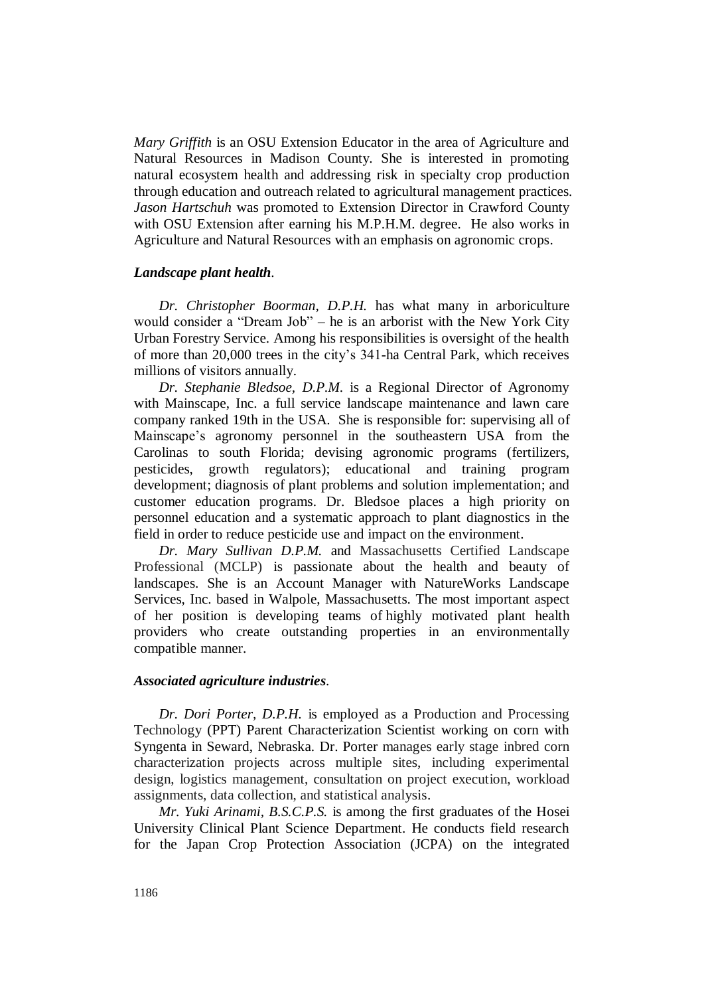*Mary Griffith* is an OSU Extension Educator in the area of Agriculture and Natural Resources in Madison County. She is interested in promoting natural ecosystem health and addressing risk in specialty crop production through education and outreach related to agricultural management practices. *Jason Hartschuh* was promoted to Extension Director in Crawford County with OSU Extension after earning his M.P.H.M. degree. He also works in Agriculture and Natural Resources with an emphasis on agronomic crops.

## *Landscape plant health.*

 *Dr. Christopher Boorman, D.P.H.* has what many in arboriculture would consider a "Dream Job" – he is an arborist with the New York City Urban Forestry Service. Among his responsibilities is oversight of the health of more than 20,000 trees in the city's 341-ha Central Park, which receives millions of visitors annually.

 *Dr. Stephanie Bledsoe, D.P.M.* is a Regional Director of Agronomy with Mainscape, Inc. a full service landscape maintenance and lawn care company ranked 19th in the USA. She is responsible for: supervising all of Mainscape's agronomy personnel in the southeastern USA from the Carolinas to south Florida; devising agronomic programs (fertilizers, pesticides, growth regulators); educational and training program development; diagnosis of plant problems and solution implementation; and customer education programs. Dr. Bledsoe places a high priority on personnel education and a systematic approach to plant diagnostics in the field in order to reduce pesticide use and impact on the environment.

 *Dr. Mary Sullivan D.P.M.* and Massachusetts Certified Landscape Professional (MCLP) is passionate about the health and beauty of landscapes. She is an Account Manager with NatureWorks Landscape Services, Inc. based in Walpole, Massachusetts. The most important aspect of her position is developing teams of highly motivated plant health providers who create outstanding properties in an environmentally compatible manner.

## *Associated agriculture industries.*

 *Dr. Dori Porter, D.P.H.* is employed as a Production and Processing Technology (PPT) Parent Characterization Scientist working on corn with Syngenta in Seward, Nebraska. Dr. Porter manages early stage inbred corn characterization projects across multiple sites, including experimental design, logistics management, consultation on project execution, workload assignments, data collection, and statistical analysis.

 *Mr. Yuki Arinami, B.S.C.P.S.* is among the first graduates of the Hosei University Clinical Plant Science Department. He conducts field research for the Japan Crop Protection Association (JCPA) on the integrated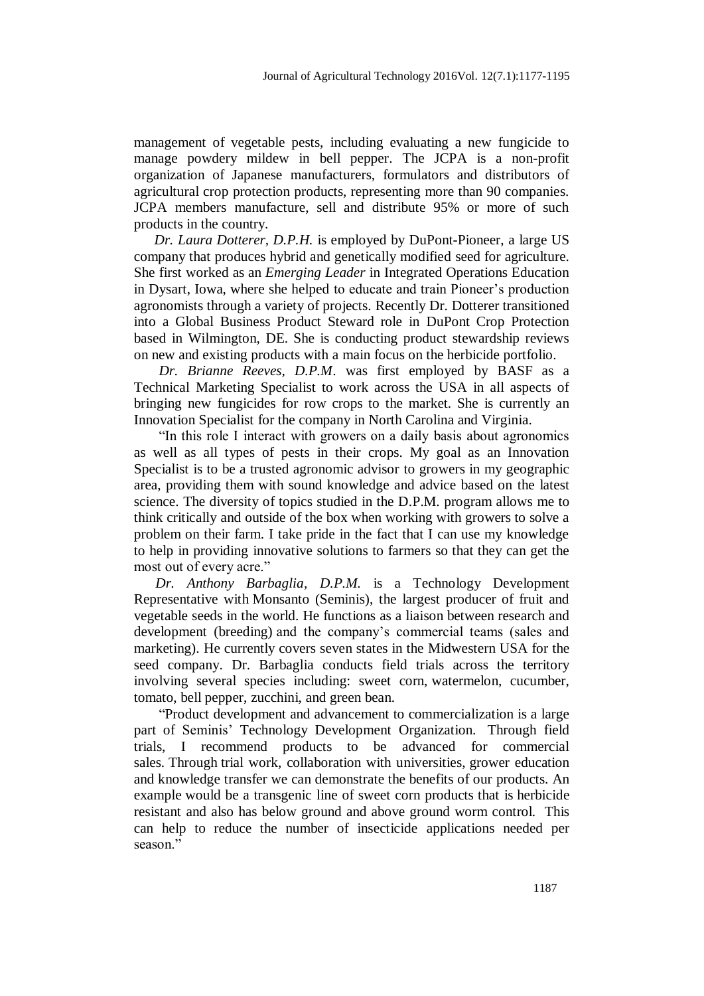management of vegetable pests, including evaluating a new fungicide to manage powdery mildew in bell pepper. The JCPA is a non-profit organization of Japanese manufacturers, formulators and distributors of agricultural crop protection products, representing more than 90 companies. JCPA members manufacture, sell and distribute 95% or more of such products in the country.

 *Dr. Laura Dotterer, D.P.H.* is employed by DuPont-Pioneer, a large US company that produces hybrid and genetically modified seed for agriculture. She first worked as an *Emerging Leader* in Integrated Operations Education in Dysart, Iowa, where she helped to educate and train Pioneer's production agronomists through a variety of projects. Recently Dr. Dotterer transitioned into a Global Business Product Steward role in DuPont Crop Protection based in Wilmington, DE. She is conducting product stewardship reviews on new and existing products with a main focus on the herbicide portfolio.

 *Dr. Brianne Reeves, D.P.M*. was first employed by BASF as a Technical Marketing Specialist to work across the USA in all aspects of bringing new fungicides for row crops to the market. She is currently an Innovation Specialist for the company in North Carolina and Virginia.

 "In this role I interact with growers on a daily basis about agronomics as well as all types of pests in their crops. My goal as an Innovation Specialist is to be a trusted agronomic advisor to growers in my geographic area, providing them with sound knowledge and advice based on the latest science. The diversity of topics studied in the D.P.M. program allows me to think critically and outside of the box when working with growers to solve a problem on their farm. I take pride in the fact that I can use my knowledge to help in providing innovative solutions to farmers so that they can get the most out of every acre."

 *Dr. Anthony Barbaglia, D.P.M.* is a Technology Development Representative with Monsanto (Seminis), the largest producer of fruit and vegetable seeds in the world. He functions as a liaison between research and development (breeding) and the company's commercial teams (sales and marketing). He currently covers seven states in the Midwestern USA for the seed company. Dr. Barbaglia conducts field trials across the territory involving several species including: sweet corn, watermelon, cucumber, tomato, bell pepper, zucchini, and green bean.

 "Product development and advancement to commercialization is a large part of Seminis' Technology Development Organization. Through field trials, I recommend products to be advanced for commercial sales. Through trial work, collaboration with universities, grower education and knowledge transfer we can demonstrate the benefits of our products. An example would be a transgenic line of sweet corn products that is herbicide resistant and also has below ground and above ground worm control. This can help to reduce the number of insecticide applications needed per season<sup>"</sup>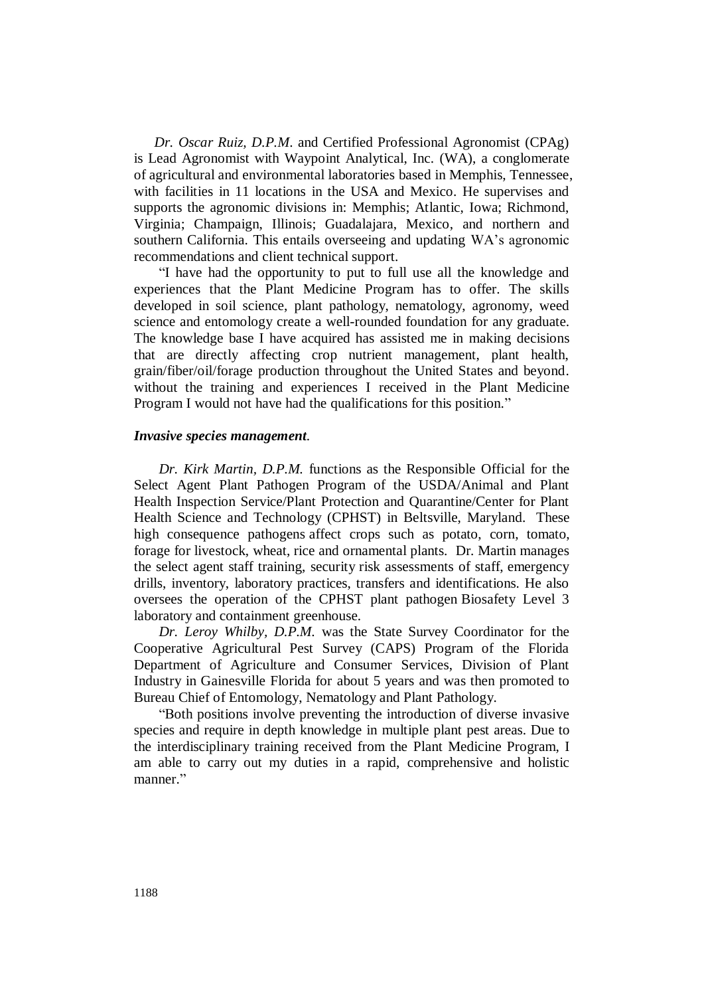*Dr. Oscar Ruiz, D.P.M*. and Certified Professional Agronomist (CPAg) is Lead Agronomist with Waypoint Analytical, Inc. (WA), a conglomerate of agricultural and environmental laboratories based in Memphis, Tennessee, with facilities in 11 locations in the USA and Mexico. He supervises and supports the agronomic divisions in: Memphis; Atlantic, Iowa; Richmond, Virginia; Champaign, Illinois; Guadalajara, Mexico, and northern and southern California. This entails overseeing and updating WA's agronomic recommendations and client technical support.

 "I have had the opportunity to put to full use all the knowledge and experiences that the Plant Medicine Program has to offer. The skills developed in soil science, plant pathology, nematology, agronomy, weed science and entomology create a well-rounded foundation for any graduate. The knowledge base I have acquired has assisted me in making decisions that are directly affecting crop nutrient management, plant health, grain/fiber/oil/forage production throughout the United States and beyond. without the training and experiences I received in the Plant Medicine Program I would not have had the qualifications for this position."

## *Invasive species management.*

 *Dr. Kirk Martin, D.P.M.* functions as the Responsible Official for the Select Agent Plant Pathogen Program of the USDA/Animal and Plant Health Inspection Service/Plant Protection and Quarantine/Center for Plant Health Science and Technology (CPHST) in Beltsville, Maryland. These high consequence pathogens affect crops such as potato, corn, tomato, forage for livestock, wheat, rice and ornamental plants. Dr. Martin manages the select agent staff training, security risk assessments of staff, emergency drills, inventory, laboratory practices, transfers and identifications. He also oversees the operation of the CPHST plant pathogen Biosafety Level 3 laboratory and containment greenhouse.

 *Dr. Leroy Whilby, D.P.M.* was the State Survey Coordinator for the Cooperative Agricultural Pest Survey (CAPS) Program of the Florida Department of Agriculture and Consumer Services, Division of Plant Industry in Gainesville Florida for about 5 years and was then promoted to Bureau Chief of Entomology, Nematology and Plant Pathology.

 "Both positions involve preventing the introduction of diverse invasive species and require in depth knowledge in multiple plant pest areas. Due to the interdisciplinary training received from the Plant Medicine Program, I am able to carry out my duties in a rapid, comprehensive and holistic manner."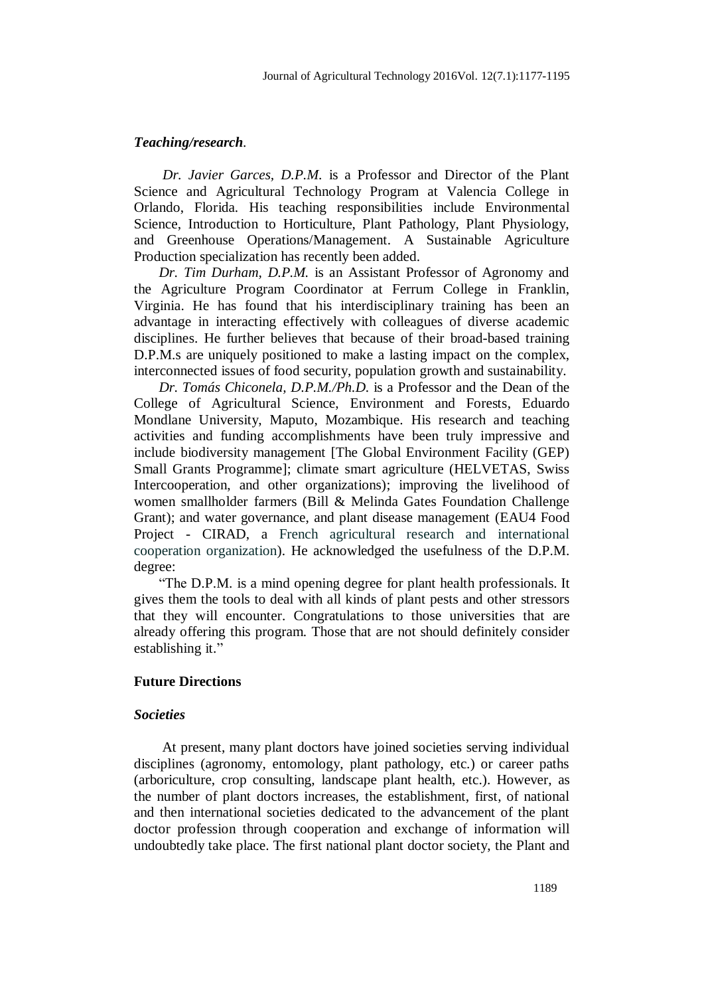#### *Teaching/research.*

 *Dr. Javier Garces, D.P.M.* is a Professor and Director of the Plant Science and Agricultural Technology Program at Valencia College in Orlando, Florida. His teaching responsibilities include Environmental Science, Introduction to Horticulture, Plant Pathology, Plant Physiology, and Greenhouse Operations/Management. A Sustainable Agriculture Production specialization has recently been added.

 *Dr. Tim Durham, D.P.M.* is an Assistant Professor of Agronomy and the Agriculture Program Coordinator at Ferrum College in Franklin, Virginia. He has found that his interdisciplinary training has been an advantage in interacting effectively with colleagues of diverse academic disciplines. He further believes that because of their broad-based training D.P.M.s are uniquely positioned to make a lasting impact on the complex, interconnected issues of food security, population growth and sustainability.

 *Dr. Tomás Chiconela, D.P.M./Ph.D.* is a Professor and the Dean of the College of Agricultural Science, Environment and Forests, Eduardo Mondlane University, Maputo, Mozambique. His research and teaching activities and funding accomplishments have been truly impressive and include biodiversity management [The Global Environment Facility (GEP) Small Grants Programme]; climate smart agriculture (HELVETAS, Swiss Intercooperation, and other organizations); improving the livelihood of women smallholder farmers (Bill & Melinda Gates Foundation Challenge Grant); and water governance, and plant disease management (EAU4 Food Project - CIRAD, a French agricultural research and international cooperation organization). He acknowledged the usefulness of the D.P.M. degree:

 "The D.P.M. is a mind opening degree for plant health professionals. It gives them the tools to deal with all kinds of plant pests and other stressors that they will encounter. Congratulations to those universities that are already offering this program. Those that are not should definitely consider establishing it."

## **Future Directions**

#### *Societies*

At present, many plant doctors have joined societies serving individual disciplines (agronomy, entomology, plant pathology, etc.) or career paths (arboriculture, crop consulting, landscape plant health, etc.). However, as the number of plant doctors increases, the establishment, first, of national and then international societies dedicated to the advancement of the plant doctor profession through cooperation and exchange of information will undoubtedly take place. The first national plant doctor society, the Plant and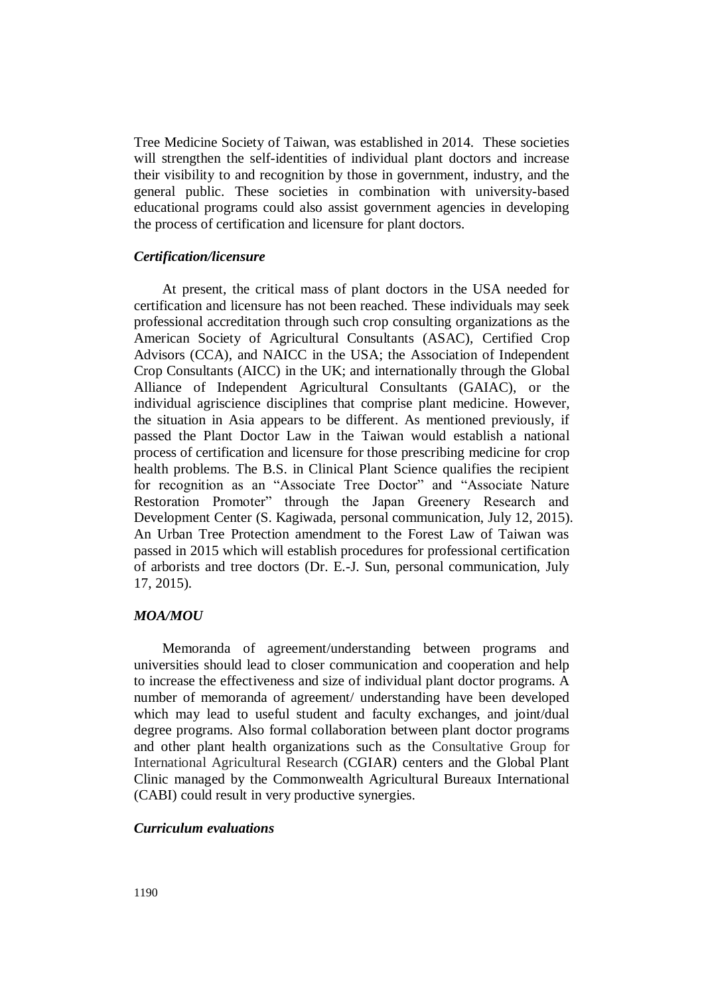Tree Medicine Society of Taiwan, was established in 2014. These societies will strengthen the self-identities of individual plant doctors and increase their visibility to and recognition by those in government, industry, and the general public. These societies in combination with university-based educational programs could also assist government agencies in developing the process of certification and licensure for plant doctors.

## *Certification/licensure*

At present, the critical mass of plant doctors in the USA needed for certification and licensure has not been reached. These individuals may seek professional accreditation through such crop consulting organizations as the American Society of Agricultural Consultants (ASAC), Certified Crop Advisors (CCA), and NAICC in the USA; the Association of Independent Crop Consultants (AICC) in the UK; and internationally through the Global Alliance of Independent Agricultural Consultants (GAIAC), or the individual agriscience disciplines that comprise plant medicine. However, the situation in Asia appears to be different. As mentioned previously, if passed the Plant Doctor Law in the Taiwan would establish a national process of certification and licensure for those prescribing medicine for crop health problems. The B.S. in Clinical Plant Science qualifies the recipient for recognition as an "Associate Tree Doctor" and "Associate Nature Restoration Promoter" through the Japan Greenery Research and Development Center (S. Kagiwada, personal communication, July 12, 2015). An Urban Tree Protection amendment to the Forest Law of Taiwan was passed in 2015 which will establish procedures for professional certification of arborists and tree doctors (Dr. E.-J. Sun, personal communication, July 17, 2015).

#### *MOA/MOU*

Memoranda of agreement/understanding between programs and universities should lead to closer communication and cooperation and help to increase the effectiveness and size of individual plant doctor programs. A number of memoranda of agreement/ understanding have been developed which may lead to useful student and faculty exchanges, and joint/dual degree programs. Also formal collaboration between plant doctor programs and other plant health organizations such as the Consultative Group for International Agricultural Research (CGIAR) centers and the Global Plant Clinic managed by the Commonwealth Agricultural Bureaux International (CABI) could result in very productive synergies.

## *Curriculum evaluations*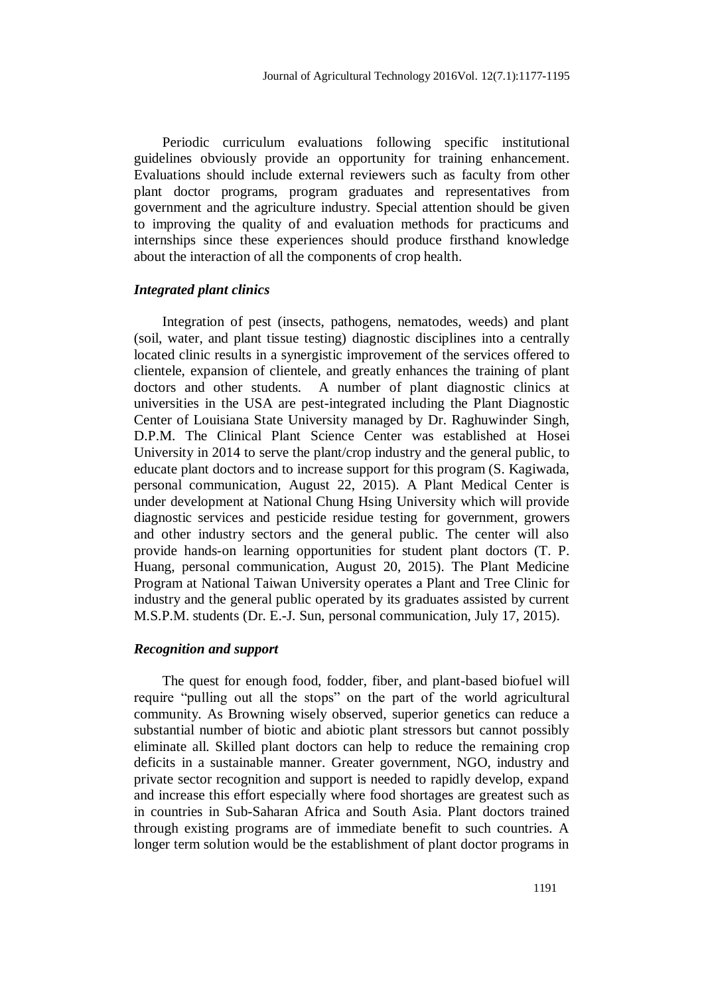Periodic curriculum evaluations following specific institutional guidelines obviously provide an opportunity for training enhancement. Evaluations should include external reviewers such as faculty from other plant doctor programs, program graduates and representatives from government and the agriculture industry. Special attention should be given to improving the quality of and evaluation methods for practicums and internships since these experiences should produce firsthand knowledge about the interaction of all the components of crop health.

#### *Integrated plant clinics*

Integration of pest (insects, pathogens, nematodes, weeds) and plant (soil, water, and plant tissue testing) diagnostic disciplines into a centrally located clinic results in a synergistic improvement of the services offered to clientele, expansion of clientele, and greatly enhances the training of plant doctors and other students. A number of plant diagnostic clinics at universities in the USA are pest-integrated including the Plant Diagnostic Center of Louisiana State University managed by Dr. Raghuwinder Singh, D.P.M. The Clinical Plant Science Center was established at Hosei University in 2014 to serve the plant/crop industry and the general public, to educate plant doctors and to increase support for this program (S. Kagiwada, personal communication, August 22, 2015). A Plant Medical Center is under development at National Chung Hsing University which will provide diagnostic services and pesticide residue testing for government, growers and other industry sectors and the general public. The center will also provide hands-on learning opportunities for student plant doctors (T. P. Huang, personal communication, August 20, 2015). The Plant Medicine Program at National Taiwan University operates a Plant and Tree Clinic for industry and the general public operated by its graduates assisted by current M.S.P.M. students (Dr. E.-J. Sun, personal communication, July 17, 2015).

## *Recognition and support*

The quest for enough food, fodder, fiber, and plant-based biofuel will require "pulling out all the stops" on the part of the world agricultural community. As Browning wisely observed, superior genetics can reduce a substantial number of biotic and abiotic plant stressors but cannot possibly eliminate all. Skilled plant doctors can help to reduce the remaining crop deficits in a sustainable manner. Greater government, NGO, industry and private sector recognition and support is needed to rapidly develop, expand and increase this effort especially where food shortages are greatest such as in countries in Sub-Saharan Africa and South Asia. Plant doctors trained through existing programs are of immediate benefit to such countries. A longer term solution would be the establishment of plant doctor programs in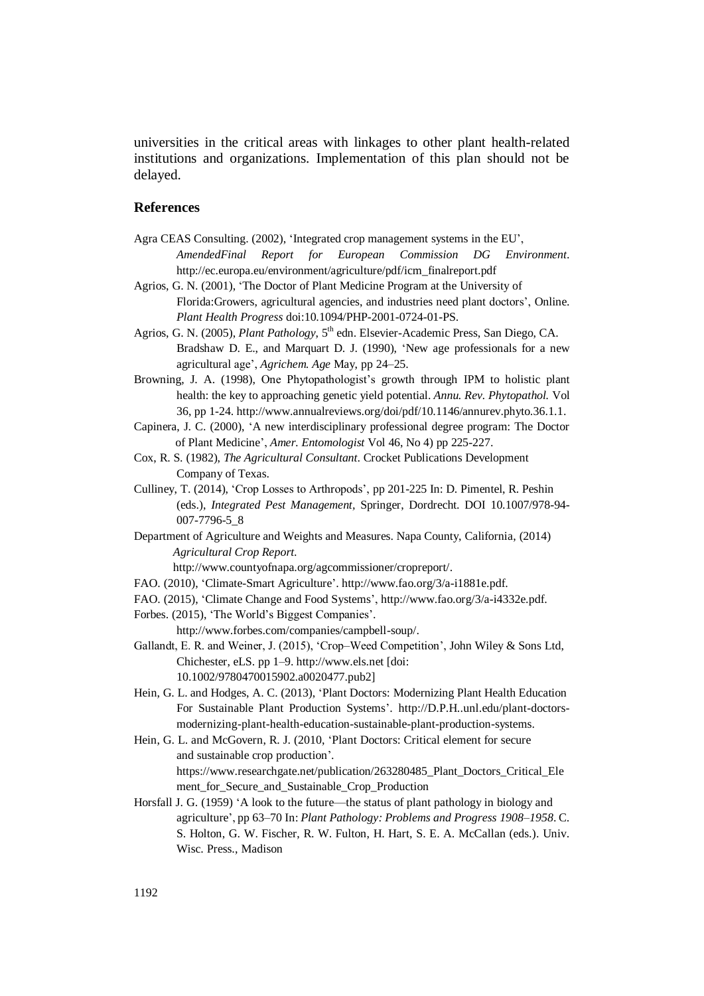universities in the critical areas with linkages to other plant health-related institutions and organizations. Implementation of this plan should not be delayed.

#### **References**

- Agra CEAS Consulting. (2002), 'Integrated crop management systems in the EU', *AmendedFinal Report for European Commission DG Environment*. http://ec.europa.eu/environment/agriculture/pdf/icm\_finalreport.pdf
- Agrios, G. N. (2001), 'The Doctor of Plant Medicine Program at the University of Florida:Growers, agricultural agencies, and industries need plant doctors', Online. *Plant Health Progress* doi:10.1094/PHP-2001-0724-01-PS.
- Agrios, G. N. (2005), *Plant Pathology*, 5<sup>th</sup> edn. Elsevier-Academic Press, San Diego, CA. Bradshaw D. E., and Marquart D. J. (1990), 'New age professionals for a new agricultural age', *Agrichem. Age* May, pp 24–25.
- Browning, J. A. (1998), One Phytopathologist's growth through IPM to holistic plant health: the key to approaching genetic yield potential. *Annu. Rev. Phytopathol.* Vol 36, pp 1-24. http://www.annualreviews.org/doi/pdf/10.1146/annurev.phyto.36.1.1.

Capinera, J. C. (2000), 'A new interdisciplinary professional degree program: The Doctor of Plant Medicine', *Amer. Entomologist* Vol 46, No 4) pp 225-227.

- Cox, R. S. (1982), *The Agricultural Consultant*. Crocket Publications Development Company of Texas.
- Culliney, T. (2014), 'Crop Losses to Arthropods', pp 201-225 In: D. Pimentel, R. Peshin (eds.), *Integrated Pest Management,* Springer, Dordrecht. DOI 10.1007/978-94- 007-7796-5\_8
- Department of Agriculture and Weights and Measures. Napa County, California, (2014) *Agricultural Crop Report*.

http://www.countyofnapa.org/agcommissioner/cropreport/.

- FAO. (2010), 'Climate-Smart Agriculture'. http://www.fao.org/3/a-i1881e.pdf.
- FAO. (2015), 'Climate Change and Food Systems', http://www.fao.org/3/a-i4332e.pdf.
- Forbes. (2015), 'The World's Biggest Companies'.

http://www.forbes.com/companies/campbell-soup/.

- Gallandt, E. R. and Weiner, J. (2015), 'Crop–Weed Competition', John Wiley & Sons Ltd, Chichester, eLS. pp 1–9. http://www.els.net [doi: 10.1002/9780470015902.a0020477.pub2]
- Hein, G. L. and Hodges, A. C. (2013), 'Plant Doctors: Modernizing Plant Health Education For Sustainable Plant Production Systems'. http://D.P.H..unl.edu/plant-doctorsmodernizing-plant-health-education-sustainable-plant-production-systems.
- Hein, G. L. and McGovern, R. J. (2010, 'Plant Doctors: Critical element for secure and sustainable crop production'. https://www.researchgate.net/publication/263280485 Plant Doctors Critical Ele ment for Secure and Sustainable Crop Production
- Horsfall J. G. (1959) 'A look to the future—the status of plant pathology in biology and agriculture', pp 63–70 In: *Plant Pathology: Problems and Progress 1908–1958*. C. S. Holton, G. W. Fischer, R. W. Fulton, H. Hart, S. E. A. McCallan (eds.). Univ. Wisc. Press., Madison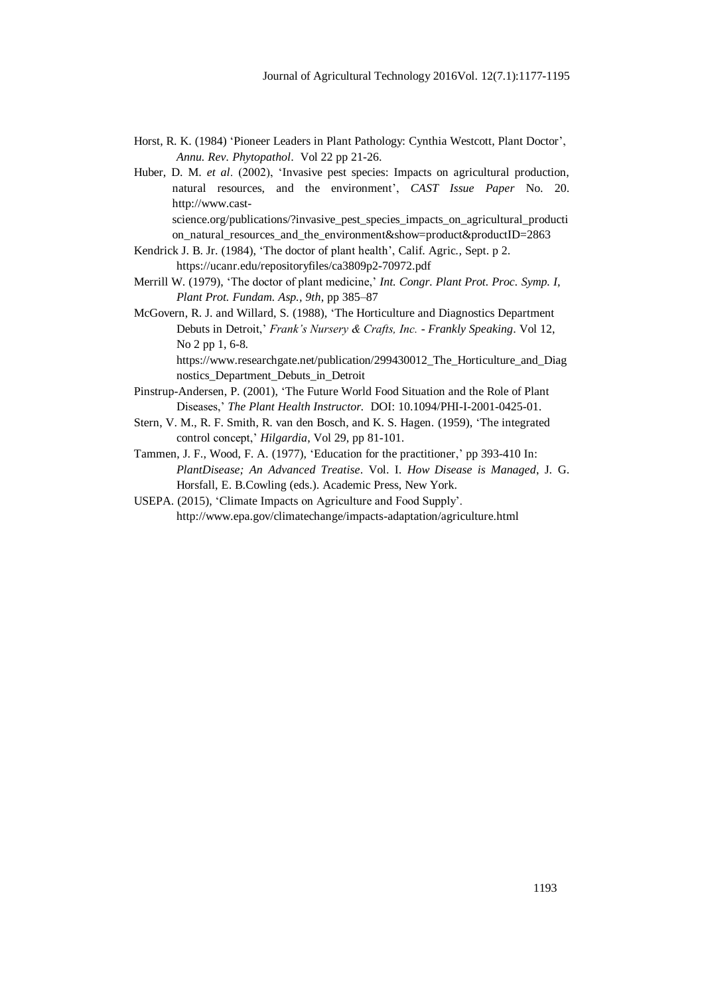- Horst, R. K. (1984) 'Pioneer Leaders in Plant Pathology: Cynthia Westcott, Plant Doctor', *Annu. Rev. Phytopathol*. Vol 22 pp 21-26.
- Huber, D. M. *et al*. (2002), 'Invasive pest species: Impacts on agricultural production, natural resources, and the environment', *CAST Issue Paper* No. 20. http://www.castscience.org/publications/?invasive\_pest\_species\_impacts\_on\_agricultural\_producti on natural resources and the environment&show=product&productID=2863
- Kendrick J. B. Jr. (1984), 'The doctor of plant health', Calif. Agric*.,* Sept. p 2. https://ucanr.edu/repositoryfiles/ca3809p2-70972.pdf
- Merrill W. (1979), 'The doctor of plant medicine,' *Int. Congr. Plant Prot. Proc. Symp. I, Plant Prot. Fundam. Asp., 9th*, pp 385–87
- McGovern, R. J. and Willard, S. (1988), 'The Horticulture and Diagnostics Department Debuts in Detroit,' *Frank's Nursery & Crafts, Inc. - Frankly Speaking*. Vol 12, No 2 pp 1, 6-8.

https://www.researchgate.net/publication/299430012 The Horticulture and Diag nostics\_Department\_Debuts\_in\_Detroit

- Pinstrup-Andersen, P. (2001), 'The Future World Food Situation and the Role of Plant Diseases,' *The Plant Health Instructor.* DOI: 10.1094/PHI-I-2001-0425-01.
- Stern, V. M., R. F. Smith, R. van den Bosch, and K. S. Hagen. (1959), 'The integrated control concept,' *Hilgardia*, Vol 29, pp 81-101.
- Tammen, J. F., Wood, F. A. (1977), 'Education for the practitioner,' pp 393-410 In: *PlantDisease; An Advanced Treatise*. Vol. I. *How Disease is Managed*, J. G. Horsfall, E. B.Cowling (eds.). Academic Press, New York.
- USEPA. (2015), 'Climate Impacts on Agriculture and Food Supply'. http://www.epa.gov/climatechange/impacts-adaptation/agriculture.html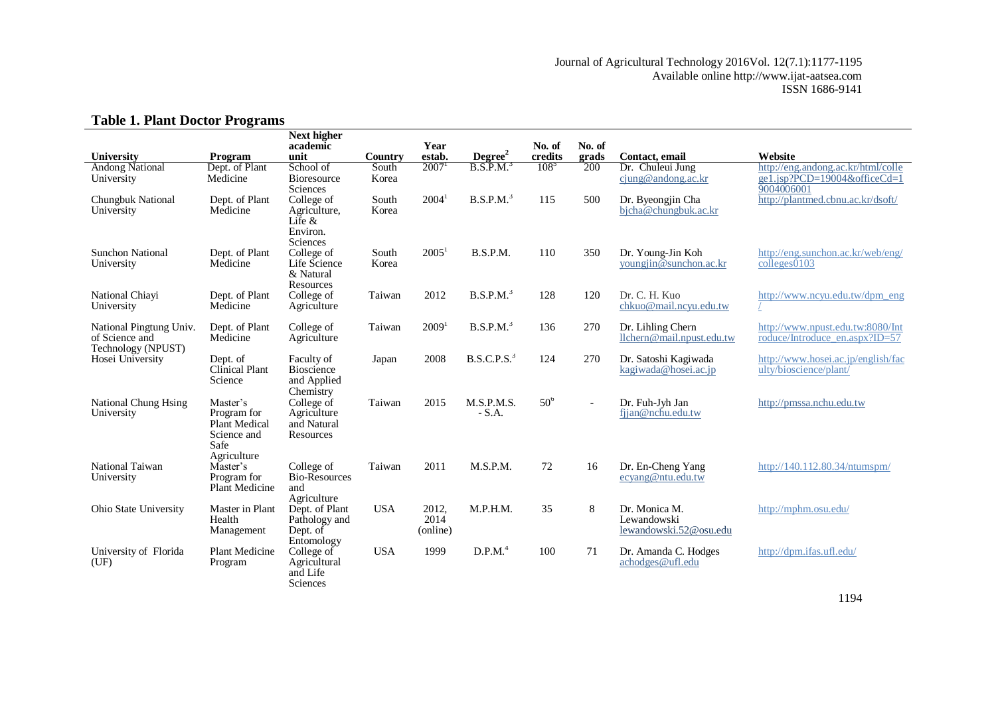#### Journal of Agricultural Technology 2016Vol. 12(7.1):1177-1195 Available online http://www.ijat-aatsea.com ISSN 1686-9141

## **Table 1. Plant Doctor Programs**

| rabic 1. 1 km Doctor 1 rograms                                  |                                                                                       |                                                                 |                |                           |                         |                   |                          |                                                        |                                                                                  |
|-----------------------------------------------------------------|---------------------------------------------------------------------------------------|-----------------------------------------------------------------|----------------|---------------------------|-------------------------|-------------------|--------------------------|--------------------------------------------------------|----------------------------------------------------------------------------------|
| University                                                      | Program                                                                               | <b>Next higher</b><br>academic<br>unit                          | Country        | Year<br>estab.            | Degree <sup>2</sup>     | No. of<br>credits | No. of<br>grads          | Contact, email                                         | Website                                                                          |
|                                                                 | Dept. of Plant                                                                        | School of                                                       | South          | $2007$ <sup>1</sup>       | B.S.P.M. <sup>3</sup>   | 108 <sup>5</sup>  | 200                      | Dr. Chuleui Jung                                       | http://eng.andong.ac.kr/html/colle                                               |
| <b>Andong National</b><br>University                            | Medicine                                                                              | Bioresource<br>Sciences                                         | Korea          |                           |                         |                   |                          | cjung@andong.ac.kr                                     | ge1.jsp?PCD=19004&officeCd=1<br>9004006001                                       |
| Chungbuk National<br>University                                 | Dept. of Plant<br>Medicine                                                            | College of<br>Agriculture,<br>Life $\&$<br>Environ.<br>Sciences | South<br>Korea | 2004 <sup>1</sup>         | B.S.P.M. <sup>3</sup>   | 115               | 500                      | Dr. Byeongjin Cha<br>bicha@chungbuk.ac.kr              | http://plantmed.cbnu.ac.kr/dsoft/                                                |
| <b>Sunchon National</b><br>University                           | Dept. of Plant<br>Medicine                                                            | College of<br>Life Science<br>& Natural<br>Resources            | South<br>Korea | 2005 <sup>1</sup>         | B.S.P.M.                | 110               | 350                      | Dr. Young-Jin Koh<br>youngjin@sunchon.ac.kr            | http://eng.sunchon.ac.kr/web/eng/<br>$\overline{\text{colleges}}\overline{0103}$ |
| National Chiavi<br>University                                   | Dept. of Plant<br>Medicine                                                            | College of<br>Agriculture                                       | Taiwan         | 2012                      | B.S.P.M. <sup>3</sup>   | 128               | 120                      | Dr. C. H. Kuo<br>chkuo@mail.ncyu.edu.tw                | http://www.ncyu.edu.tw/dpm_eng                                                   |
| National Pingtung Univ.<br>of Science and<br>Technology (NPUST) | Dept. of Plant<br>Medicine                                                            | College of<br>Agriculture                                       | Taiwan         | 2009 <sup>1</sup>         | B.S.P.M. <sup>3</sup>   | 136               | 270                      | Dr. Lihling Chern<br>llchern@mail.npust.edu.tw         | http://www.npust.edu.tw:8080/Int<br>roduce/Introduce_en.aspx?ID=57               |
| Hosei University                                                | Dept. of<br>Clinical Plant<br>Science                                                 | Faculty of<br><b>Bioscience</b><br>and Applied<br>Chemistry     | Japan          | 2008                      | B.S.C.P.S. <sup>3</sup> | 124               | 270                      | Dr. Satoshi Kagiwada<br>kagiwada@hosei.ac.jp           | http://www.hosei.ac.jp/english/fac<br>ulty/bioscience/plant/                     |
| National Chung Hsing<br>University                              | Master's<br>Program for<br><b>Plant Medical</b><br>Science and<br>Safe<br>Agriculture | College of<br>Agriculture<br>and Natural<br>Resources           | Taiwan         | 2015                      | M.S.P.M.S.<br>$-S.A.$   | 50 <sup>6</sup>   | $\overline{\phantom{a}}$ | Dr. Fuh-Jyh Jan<br>fjjan@nchu.edu.tw                   | http://pmssa.nchu.edu.tw                                                         |
| National Taiwan<br>University                                   | Master's<br>Program for<br>Plant Medicine                                             | College of<br><b>Bio-Resources</b><br>and<br>Agriculture        | Taiwan         | 2011                      | M.S.P.M.                | 72                | 16                       | Dr. En-Cheng Yang<br>ecyang@ntu.edu.tw                 | http://140.112.80.34/ntumspm/                                                    |
| Ohio State University                                           | Master in Plant<br>Health<br>Management                                               | Dept. of Plant<br>Pathology and<br>Dept. of<br>Entomology       | <b>USA</b>     | 2012,<br>2014<br>(online) | M.P.H.M.                | 35                | $\,8\,$                  | Dr. Monica M.<br>Lewandowski<br>lewandowski.52@osu.edu | http://mphm.osu.edu/                                                             |
| University of Florida<br>(UF)                                   | <b>Plant Medicine</b><br>Program                                                      | College of<br>Agricultural<br>and Life<br>Sciences              | <b>USA</b>     | 1999                      | D.P.M. <sup>4</sup>     | 100               | 71                       | Dr. Amanda C. Hodges<br>achodges@ufl.edu               | http://dpm.ifas.ufl.edu/                                                         |